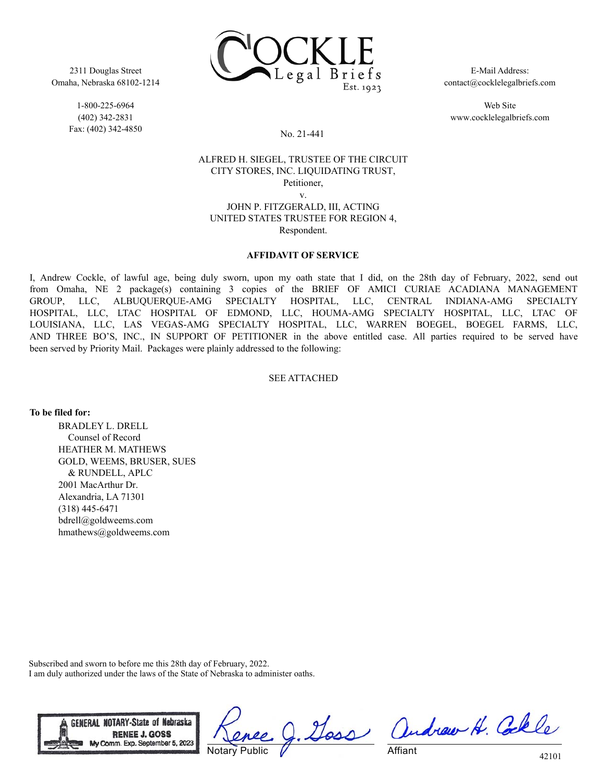

2311 Douglas Street Omaha, Nebraska 68102-1214

> 1-800-225-6964 (402) 342-2831 Fax: (402) 342-4850

E-Mail Address: contact@cocklelegalbriefs.com

Web Site www.cocklelegalbriefs.com

## No. 21-441

## ALFRED H. SIEGEL, TRUSTEE OF THE CIRCUIT CITY STORES, INC. LIQUIDATING TRUST, Petitioner, v.

JOHN P. FITZGERALD, III, ACTING UNITED STATES TRUSTEE FOR REGION 4, Respondent.

## **AFFIDAVIT OF SERVICE**

I, Andrew Cockle, of lawful age, being duly sworn, upon my oath state that I did, on the 28th day of February, 2022, send out from Omaha, NE 2 package(s) containing 3 copies of the BRIEF OF AMICI CURIAE ACADIANA MANAGEMENT GROUP, LLC, ALBUQUERQUE-AMG SPECIALTY HOSPITAL, LLC, CENTRAL INDIANA-AMG SPECIALTY HOSPITAL, LLC, LTAC HOSPITAL OF EDMOND, LLC, HOUMA-AMG SPECIALTY HOSPITAL, LLC, LTAC OF LOUISIANA, LLC, LAS VEGAS-AMG SPECIALTY HOSPITAL, LLC, WARREN BOEGEL, BOEGEL FARMS, LLC, AND THREE BO'S, INC., IN SUPPORT OF PETITIONER in the above entitled case. All parties required to be served have been served by Priority Mail. Packages were plainly addressed to the following:

## SEE ATTACHED

**To be filed for:**

BRADLEY L. DRELL Counsel of Record HEATHER M. MATHEWS GOLD, WEEMS, BRUSER, SUES & RUNDELL, APLC 2001 MacArthur Dr. Alexandria, LA 71301 (318) 445-6471 bdrell@goldweems.com hmathews@goldweems.com

Subscribed and sworn to before me this 28th day of February, 2022. I am duly authorized under the laws of the State of Nebraska to administer oaths.



Notary Public

Doss andrew H. Colle